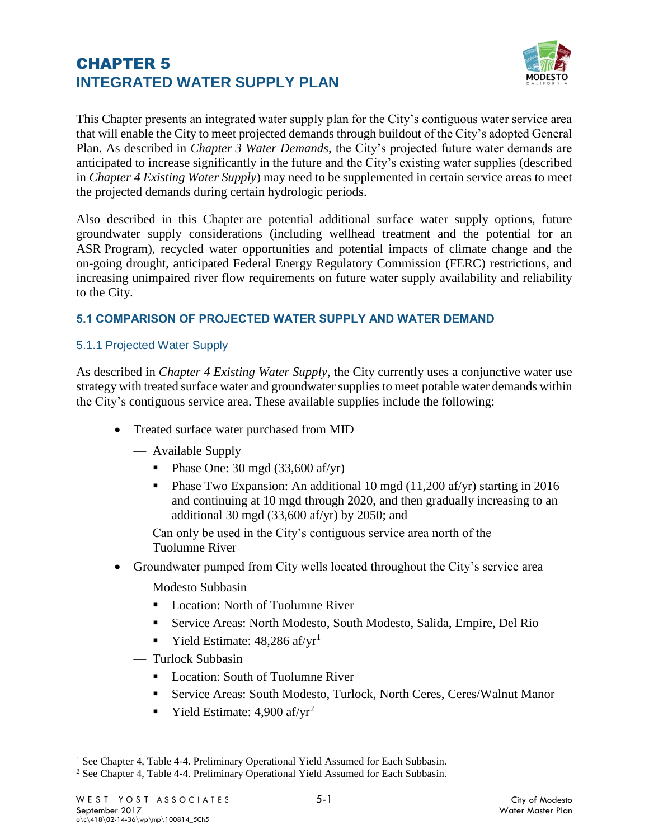

This Chapter presents an integrated water supply plan for the City's contiguous water service area that will enable the City to meet projected demands through buildout of the City's adopted General Plan. As described in *Chapter 3 Water Demands*, the City's projected future water demands are anticipated to increase significantly in the future and the City's existing water supplies (described in *Chapter 4 Existing Water Supply*) may need to be supplemented in certain service areas to meet the projected demands during certain hydrologic periods.

Also described in this Chapter are potential additional surface water supply options, future groundwater supply considerations (including wellhead treatment and the potential for an ASR Program), recycled water opportunities and potential impacts of climate change and the on-going drought, anticipated Federal Energy Regulatory Commission (FERC) restrictions, and increasing unimpaired river flow requirements on future water supply availability and reliability to the City.

### **5.1 COMPARISON OF PROJECTED WATER SUPPLY AND WATER DEMAND**

#### 5.1.1 Projected Water Supply

As described in *Chapter 4 Existing Water Supply*, the City currently uses a conjunctive water use strategy with treated surface water and groundwater supplies to meet potable water demands within the City's contiguous service area. These available supplies include the following:

- Treated surface water purchased from MID
	- Available Supply
		- $\blacksquare$  Phase One: 30 mgd (33,600 af/yr)
		- Phase Two Expansion: An additional 10 mgd (11,200 af/yr) starting in 2016 and continuing at 10 mgd through 2020, and then gradually increasing to an additional 30 mgd (33,600 af/yr) by 2050; and
	- Can only be used in the City's contiguous service area north of the Tuolumne River
- Groundwater pumped from City wells located throughout the City's service area
	- Modesto Subbasin
		- Location: North of Tuolumne River
		- Service Areas: North Modesto, South Modesto, Salida, Empire, Del Rio
		- Yield Estimate:  $48,286$  af/yr<sup>1</sup>
	- Turlock Subbasin
		- Location: South of Tuolumne River
		- Service Areas: South Modesto, Turlock, North Ceres, Ceres/Walnut Manor
		- **•** Yield Estimate:  $4,900$  af/yr<sup>2</sup>

<sup>&</sup>lt;sup>1</sup> See Chapter 4, Table 4-4. Preliminary Operational Yield Assumed for Each Subbasin. <sup>2</sup> See Chapter 4, Table 4-4. Preliminary Operational Yield Assumed for Each Subbasin.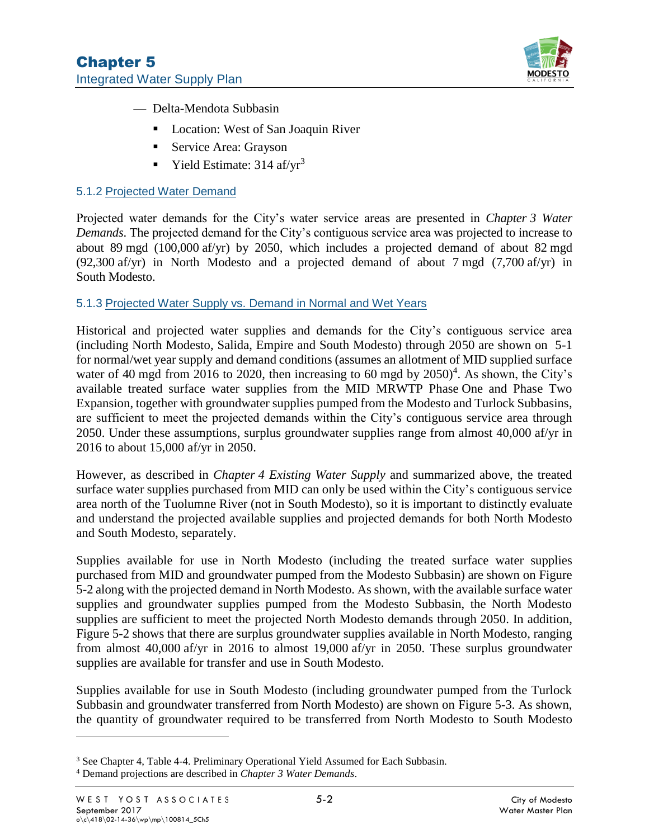

- Delta-Mendota Subbasin
	- Location: West of San Joaquin River
	- Service Area: Grayson
	- **•** Yield Estimate:  $314 \text{ af/yr}^3$

#### 5.1.2 Projected Water Demand

Projected water demands for the City's water service areas are presented in *Chapter 3 Water Demands*. The projected demand for the City's contiguous service area was projected to increase to about 89 mgd (100,000 af/yr) by 2050, which includes a projected demand of about 82 mgd (92,300 af/yr) in North Modesto and a projected demand of about 7 mgd (7,700 af/yr) in South Modesto.

#### 5.1.3 Projected Water Supply vs. Demand in Normal and Wet Years

Historical and projected water supplies and demands for the City's contiguous service area (including North Modesto, Salida, Empire and South Modesto) through 2050 are shown on [5-1](#page--1-0) for normal/wet year supply and demand conditions (assumes an allotment of MID supplied surface water of 40 mgd from 2016 to 2020, then increasing to 60 mgd by  $2050)^4$ . As shown, the City's available treated surface water supplies from the MID MRWTP Phase One and Phase Two Expansion, together with groundwater supplies pumped from the Modesto and Turlock Subbasins, are sufficient to meet the projected demands within the City's contiguous service area through 2050. Under these assumptions, surplus groundwater supplies range from almost 40,000 af/yr in 2016 to about 15,000 af/yr in 2050.

However, as described in *Chapter 4 Existing Water Supply* and summarized above, the treated surface water supplies purchased from MID can only be used within the City's contiguous service area north of the Tuolumne River (not in South Modesto), so it is important to distinctly evaluate and understand the projected available supplies and projected demands for both North Modesto and South Modesto, separately.

Supplies available for use in North Modesto (including the treated surface water supplies purchased from MID and groundwater pumped from the Modesto Subbasin) are shown on [Figure](#page--1-0)  [5-2](#page--1-0) along with the projected demand in North Modesto. As shown, with the available surface water supplies and groundwater supplies pumped from the Modesto Subbasin, the North Modesto supplies are sufficient to meet the projected North Modesto demands through 2050. In addition, [Figure 5-2](#page--1-0) shows that there are surplus groundwater supplies available in North Modesto, ranging from almost 40,000 af/yr in 2016 to almost 19,000 af/yr in 2050. These surplus groundwater supplies are available for transfer and use in South Modesto.

Supplies available for use in South Modesto (including groundwater pumped from the Turlock Subbasin and groundwater transferred from North Modesto) are shown on [Figure 5-3.](#page--1-0) As shown, the quantity of groundwater required to be transferred from North Modesto to South Modesto

<sup>3</sup> See Chapter 4, Table 4-4. Preliminary Operational Yield Assumed for Each Subbasin.

<sup>4</sup> Demand projections are described in *Chapter 3 Water Demands*.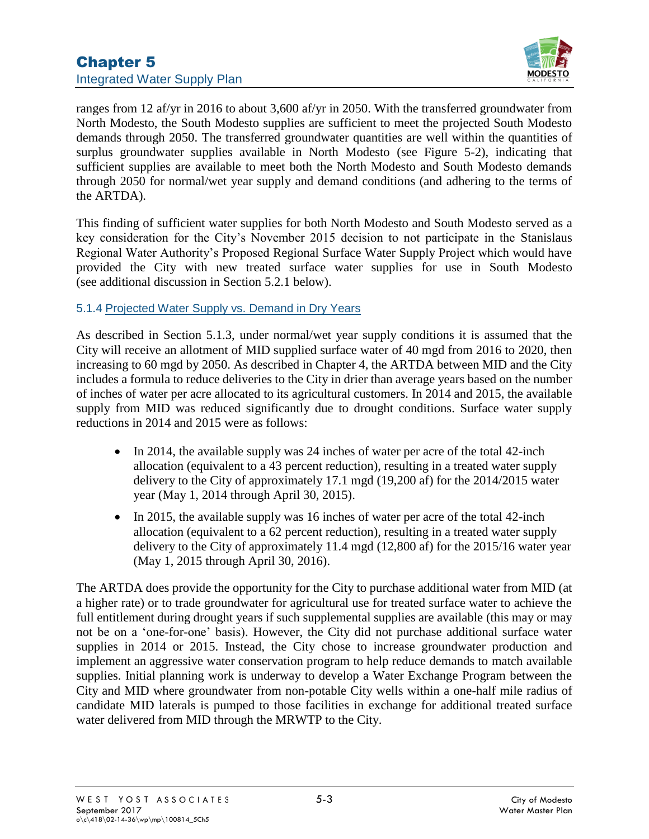

ranges from 12 af/yr in 2016 to about 3,600 af/yr in 2050. With the transferred groundwater from North Modesto, the South Modesto supplies are sufficient to meet the projected South Modesto demands through 2050. The transferred groundwater quantities are well within the quantities of surplus groundwater supplies available in North Modesto (see [Figure 5-2\)](#page--1-0), indicating that sufficient supplies are available to meet both the North Modesto and South Modesto demands through 2050 for normal/wet year supply and demand conditions (and adhering to the terms of the ARTDA).

This finding of sufficient water supplies for both North Modesto and South Modesto served as a key consideration for the City's November 2015 decision to not participate in the Stanislaus Regional Water Authority's Proposed Regional Surface Water Supply Project which would have provided the City with new treated surface water supplies for use in South Modesto (see additional discussion in Section 5.2.1 below).

## 5.1.4 Projected Water Supply vs. Demand in Dry Years

As described in Section 5.1.3, under normal/wet year supply conditions it is assumed that the City will receive an allotment of MID supplied surface water of 40 mgd from 2016 to 2020, then increasing to 60 mgd by 2050. As described in Chapter 4, the ARTDA between MID and the City includes a formula to reduce deliveries to the City in drier than average years based on the number of inches of water per acre allocated to its agricultural customers. In 2014 and 2015, the available supply from MID was reduced significantly due to drought conditions. Surface water supply reductions in 2014 and 2015 were as follows:

- In 2014, the available supply was 24 inches of water per acre of the total 42-inch allocation (equivalent to a 43 percent reduction), resulting in a treated water supply delivery to the City of approximately 17.1 mgd (19,200 af) for the 2014/2015 water year (May 1, 2014 through April 30, 2015).
- In 2015, the available supply was 16 inches of water per acre of the total 42-inch allocation (equivalent to a 62 percent reduction), resulting in a treated water supply delivery to the City of approximately 11.4 mgd (12,800 af) for the 2015/16 water year (May 1, 2015 through April 30, 2016).

The ARTDA does provide the opportunity for the City to purchase additional water from MID (at a higher rate) or to trade groundwater for agricultural use for treated surface water to achieve the full entitlement during drought years if such supplemental supplies are available (this may or may not be on a 'one-for-one' basis). However, the City did not purchase additional surface water supplies in 2014 or 2015. Instead, the City chose to increase groundwater production and implement an aggressive water conservation program to help reduce demands to match available supplies. Initial planning work is underway to develop a Water Exchange Program between the City and MID where groundwater from non-potable City wells within a one-half mile radius of candidate MID laterals is pumped to those facilities in exchange for additional treated surface water delivered from MID through the MRWTP to the City.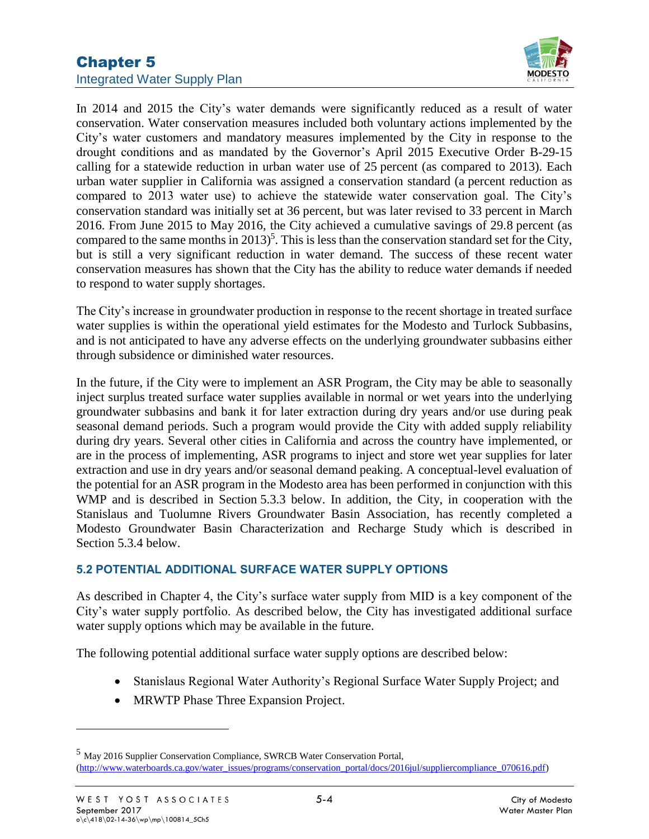

In 2014 and 2015 the City's water demands were significantly reduced as a result of water conservation. Water conservation measures included both voluntary actions implemented by the City's water customers and mandatory measures implemented by the City in response to the drought conditions and as mandated by the Governor's April 2015 Executive Order B-29-15 calling for a statewide reduction in urban water use of 25 percent (as compared to 2013). Each urban water supplier in California was assigned a conservation standard (a percent reduction as compared to 2013 water use) to achieve the statewide water conservation goal. The City's conservation standard was initially set at 36 percent, but was later revised to 33 percent in March 2016. From June 2015 to May 2016, the City achieved a cumulative savings of 29.8 percent (as compared to the same months in  $2013$ <sup>5</sup>. This is less than the conservation standard set for the City, but is still a very significant reduction in water demand. The success of these recent water conservation measures has shown that the City has the ability to reduce water demands if needed to respond to water supply shortages.

The City's increase in groundwater production in response to the recent shortage in treated surface water supplies is within the operational yield estimates for the Modesto and Turlock Subbasins, and is not anticipated to have any adverse effects on the underlying groundwater subbasins either through subsidence or diminished water resources.

In the future, if the City were to implement an ASR Program, the City may be able to seasonally inject surplus treated surface water supplies available in normal or wet years into the underlying groundwater subbasins and bank it for later extraction during dry years and/or use during peak seasonal demand periods. Such a program would provide the City with added supply reliability during dry years. Several other cities in California and across the country have implemented, or are in the process of implementing, ASR programs to inject and store wet year supplies for later extraction and use in dry years and/or seasonal demand peaking. A conceptual-level evaluation of the potential for an ASR program in the Modesto area has been performed in conjunction with this WMP and is described in Section 5.3.3 below. In addition, the City, in cooperation with the Stanislaus and Tuolumne Rivers Groundwater Basin Association, has recently completed a Modesto Groundwater Basin Characterization and Recharge Study which is described in Section 5.3.4 below.

### **5.2 POTENTIAL ADDITIONAL SURFACE WATER SUPPLY OPTIONS**

As described in Chapter 4, the City's surface water supply from MID is a key component of the City's water supply portfolio. As described below, the City has investigated additional surface water supply options which may be available in the future.

The following potential additional surface water supply options are described below:

- Stanislaus Regional Water Authority's Regional Surface Water Supply Project; and
- MRWTP Phase Three Expansion Project.

<sup>5</sup> May 2016 Supplier Conservation Compliance, SWRCB Water Conservation Portal, [\(http://www.waterboards.ca.gov/water\\_issues/programs/conservation\\_portal/docs/2016jul/suppliercompliance\\_070616.pdf\)](http://www.waterboards.ca.gov/water_issues/programs/conservation_portal/docs/2016jul/suppliercompliance_070616.pdf)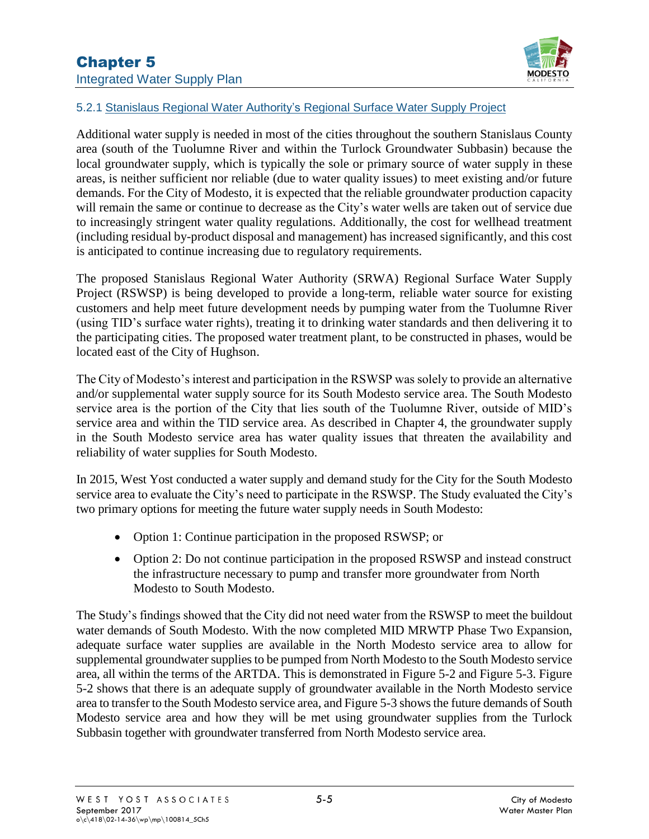

## 5.2.1 Stanislaus Regional Water Authority's Regional Surface Water Supply Project

Additional water supply is needed in most of the cities throughout the southern Stanislaus County area (south of the Tuolumne River and within the Turlock Groundwater Subbasin) because the local groundwater supply, which is typically the sole or primary source of water supply in these areas, is neither sufficient nor reliable (due to water quality issues) to meet existing and/or future demands. For the City of Modesto, it is expected that the reliable groundwater production capacity will remain the same or continue to decrease as the City's water wells are taken out of service due to increasingly stringent water quality regulations. Additionally, the cost for wellhead treatment (including residual by-product disposal and management) has increased significantly, and this cost is anticipated to continue increasing due to regulatory requirements.

The proposed Stanislaus Regional Water Authority (SRWA) Regional Surface Water Supply Project (RSWSP) is being developed to provide a long-term, reliable water source for existing customers and help meet future development needs by pumping water from the Tuolumne River (using TID's surface water rights), treating it to drinking water standards and then delivering it to the participating cities. The proposed water treatment plant, to be constructed in phases, would be located east of the City of Hughson.

The City of Modesto's interest and participation in the RSWSP was solely to provide an alternative and/or supplemental water supply source for its South Modesto service area. The South Modesto service area is the portion of the City that lies south of the Tuolumne River, outside of MID's service area and within the TID service area. As described in Chapter 4, the groundwater supply in the South Modesto service area has water quality issues that threaten the availability and reliability of water supplies for South Modesto.

In 2015, West Yost conducted a water supply and demand study for the City for the South Modesto service area to evaluate the City's need to participate in the RSWSP. The Study evaluated the City's two primary options for meeting the future water supply needs in South Modesto:

- Option 1: Continue participation in the proposed RSWSP; or
- Option 2: Do not continue participation in the proposed RSWSP and instead construct the infrastructure necessary to pump and transfer more groundwater from North Modesto to South Modesto.

The Study's findings showed that the City did not need water from the RSWSP to meet the buildout water demands of South Modesto. With the now completed MID MRWTP Phase Two Expansion, adequate surface water supplies are available in the North Modesto service area to allow for supplemental groundwater supplies to be pumped from North Modesto to the South Modesto service area, all within the terms of the ARTDA. This is demonstrated in [Figure 5-2](#page--1-0) and [Figure 5-3. Figure](#page--1-0)  [5-2](#page--1-0) shows that there is an adequate supply of groundwater available in the North Modesto service area to transfer to the South Modesto service area, and [Figure 5-3](#page--1-0) shows the future demands of South Modesto service area and how they will be met using groundwater supplies from the Turlock Subbasin together with groundwater transferred from North Modesto service area.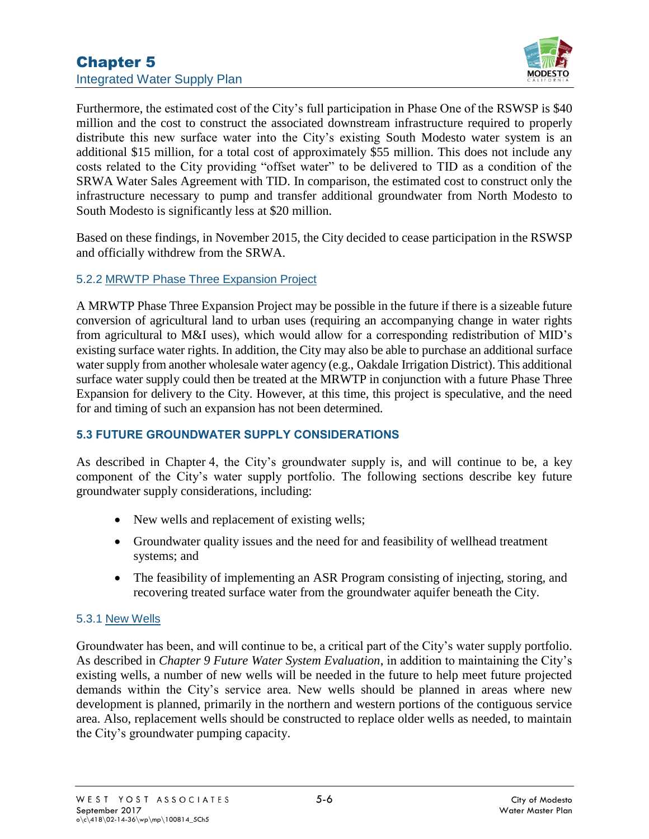

Furthermore, the estimated cost of the City's full participation in Phase One of the RSWSP is \$40 million and the cost to construct the associated downstream infrastructure required to properly distribute this new surface water into the City's existing South Modesto water system is an additional \$15 million, for a total cost of approximately \$55 million. This does not include any costs related to the City providing "offset water" to be delivered to TID as a condition of the SRWA Water Sales Agreement with TID. In comparison, the estimated cost to construct only the infrastructure necessary to pump and transfer additional groundwater from North Modesto to South Modesto is significantly less at \$20 million.

Based on these findings, in November 2015, the City decided to cease participation in the RSWSP and officially withdrew from the SRWA.

### 5.2.2 MRWTP Phase Three Expansion Project

A MRWTP Phase Three Expansion Project may be possible in the future if there is a sizeable future conversion of agricultural land to urban uses (requiring an accompanying change in water rights from agricultural to M&I uses), which would allow for a corresponding redistribution of MID's existing surface water rights. In addition, the City may also be able to purchase an additional surface water supply from another wholesale water agency (e.g., Oakdale Irrigation District). This additional surface water supply could then be treated at the MRWTP in conjunction with a future Phase Three Expansion for delivery to the City. However, at this time, this project is speculative, and the need for and timing of such an expansion has not been determined.

### **5.3 FUTURE GROUNDWATER SUPPLY CONSIDERATIONS**

As described in Chapter 4, the City's groundwater supply is, and will continue to be, a key component of the City's water supply portfolio. The following sections describe key future groundwater supply considerations, including:

- New wells and replacement of existing wells;
- Groundwater quality issues and the need for and feasibility of wellhead treatment systems; and
- The feasibility of implementing an ASR Program consisting of injecting, storing, and recovering treated surface water from the groundwater aquifer beneath the City.

#### 5.3.1 New Wells

Groundwater has been, and will continue to be, a critical part of the City's water supply portfolio. As described in *Chapter 9 Future Water System Evaluation*, in addition to maintaining the City's existing wells, a number of new wells will be needed in the future to help meet future projected demands within the City's service area. New wells should be planned in areas where new development is planned, primarily in the northern and western portions of the contiguous service area. Also, replacement wells should be constructed to replace older wells as needed, to maintain the City's groundwater pumping capacity.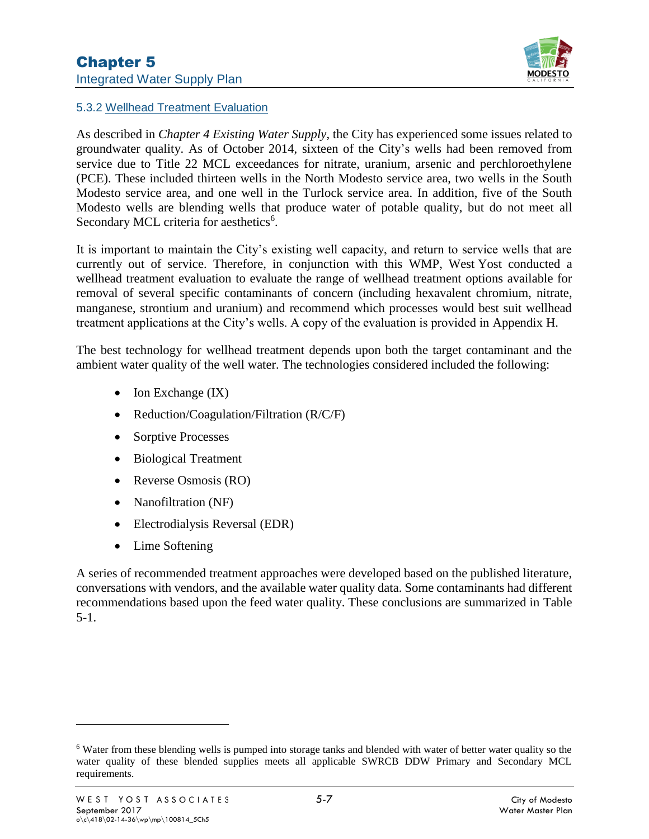

#### 5.3.2 Wellhead Treatment Evaluation

As described in *Chapter 4 Existing Water Supply*, the City has experienced some issues related to groundwater quality. As of October 2014, sixteen of the City's wells had been removed from service due to Title 22 MCL exceedances for nitrate, uranium, arsenic and perchloroethylene (PCE). These included thirteen wells in the North Modesto service area, two wells in the South Modesto service area, and one well in the Turlock service area. In addition, five of the South Modesto wells are blending wells that produce water of potable quality, but do not meet all Secondary MCL criteria for aesthetics<sup>6</sup>.

It is important to maintain the City's existing well capacity, and return to service wells that are currently out of service. Therefore, in conjunction with this WMP, West Yost conducted a wellhead treatment evaluation to evaluate the range of wellhead treatment options available for removal of several specific contaminants of concern (including hexavalent chromium, nitrate, manganese, strontium and uranium) and recommend which processes would best suit wellhead treatment applications at the City's wells. A copy of the evaluation is provided in Appendix H.

The best technology for wellhead treatment depends upon both the target contaminant and the ambient water quality of the well water. The technologies considered included the following:

- Ion Exchange (IX)
- Reduction/Coagulation/Filtration (R/C/F)
- Sorptive Processes
- Biological Treatment
- Reverse Osmosis (RO)
- Nanofiltration (NF)
- Electrodialysis Reversal (EDR)
- Lime Softening

A series of recommended treatment approaches were developed based on the published literature, conversations with vendors, and the available water quality data. Some contaminants had different recommendations based upon the feed water quality. These conclusions are summarized in [Table](#page--1-0)  [5-1.](#page--1-0)

<sup>6</sup> Water from these blending wells is pumped into storage tanks and blended with water of better water quality so the water quality of these blended supplies meets all applicable SWRCB DDW Primary and Secondary MCL requirements.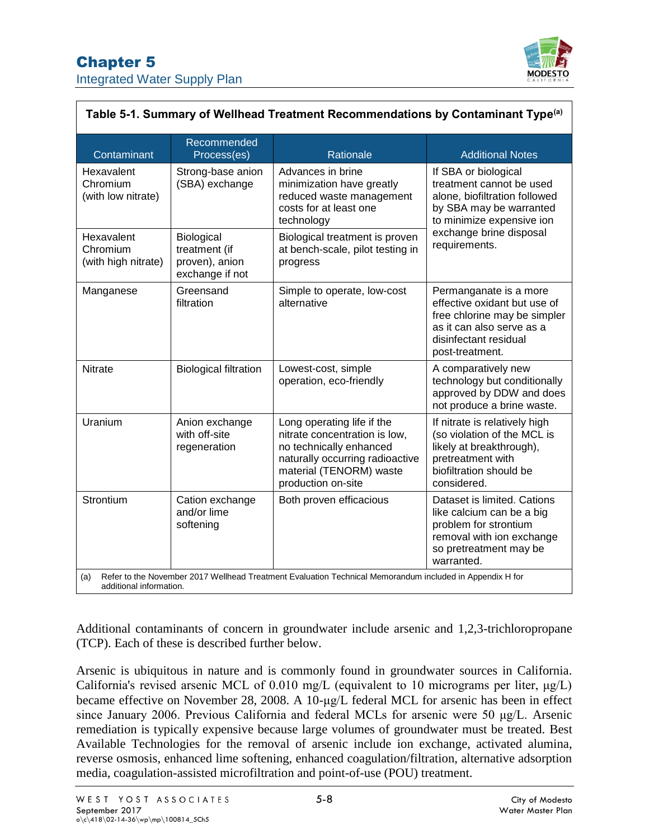

| Table 5-1. Summary of Wellhead Treatment Recommendations by Contaminant Type <sup>(a)</sup>                                                |                                                                  |                                                                                                                                                                            |                                                                                                                                                                                       |  |  |
|--------------------------------------------------------------------------------------------------------------------------------------------|------------------------------------------------------------------|----------------------------------------------------------------------------------------------------------------------------------------------------------------------------|---------------------------------------------------------------------------------------------------------------------------------------------------------------------------------------|--|--|
| Contaminant                                                                                                                                | Recommended<br>Process(es)                                       | Rationale                                                                                                                                                                  | <b>Additional Notes</b>                                                                                                                                                               |  |  |
| Hexavalent<br>Chromium<br>(with low nitrate)                                                                                               | Strong-base anion<br>(SBA) exchange                              | Advances in brine<br>minimization have greatly<br>reduced waste management<br>costs for at least one<br>technology                                                         | If SBA or biological<br>treatment cannot be used<br>alone, biofiltration followed<br>by SBA may be warranted<br>to minimize expensive ion<br>exchange brine disposal<br>requirements. |  |  |
| Hexavalent<br>Chromium<br>(with high nitrate)                                                                                              | Biological<br>treatment (if<br>proven), anion<br>exchange if not | Biological treatment is proven<br>at bench-scale, pilot testing in<br>progress                                                                                             |                                                                                                                                                                                       |  |  |
| Manganese                                                                                                                                  | Greensand<br>filtration                                          | Simple to operate, low-cost<br>alternative                                                                                                                                 | Permanganate is a more<br>effective oxidant but use of<br>free chlorine may be simpler<br>as it can also serve as a<br>disinfectant residual<br>post-treatment.                       |  |  |
| <b>Nitrate</b>                                                                                                                             | <b>Biological filtration</b>                                     | Lowest-cost, simple<br>operation, eco-friendly                                                                                                                             | A comparatively new<br>technology but conditionally<br>approved by DDW and does<br>not produce a brine waste.                                                                         |  |  |
| Uranium                                                                                                                                    | Anion exchange<br>with off-site<br>regeneration                  | Long operating life if the<br>nitrate concentration is low,<br>no technically enhanced<br>naturally occurring radioactive<br>material (TENORM) waste<br>production on-site | If nitrate is relatively high<br>(so violation of the MCL is<br>likely at breakthrough),<br>pretreatment with<br>biofiltration should be<br>considered.                               |  |  |
| Strontium                                                                                                                                  | Cation exchange<br>and/or lime<br>softening                      | Both proven efficacious                                                                                                                                                    | Dataset is limited. Cations<br>like calcium can be a big<br>problem for strontium<br>removal with ion exchange<br>so pretreatment may be<br>warranted.                                |  |  |
| Refer to the November 2017 Wellhead Treatment Evaluation Technical Memorandum included in Appendix H for<br>(a)<br>additional information. |                                                                  |                                                                                                                                                                            |                                                                                                                                                                                       |  |  |

Additional contaminants of concern in groundwater include arsenic and 1,2,3-trichloropropane (TCP). Each of these is described further below.

Arsenic is ubiquitous in nature and is commonly found in groundwater sources in California. California's revised arsenic MCL of 0.010 mg/L (equivalent to 10 micrograms per liter, μg/L) became effective on November 28, 2008. A 10-μg/L [federal MCL for arsenic](https://www.epa.gov/dwreginfo/) has been in effect since January 2006. Previous California and federal MCLs for arsenic were 50 μg/L. Arsenic remediation is typically expensive because large volumes of groundwater must be treated. Best Available Technologies for the removal of arsenic include ion exchange, activated alumina, reverse osmosis, enhanced lime softening, enhanced coagulation/filtration, alternative adsorption media, coagulation-assisted microfiltration and point-of-use (POU) treatment.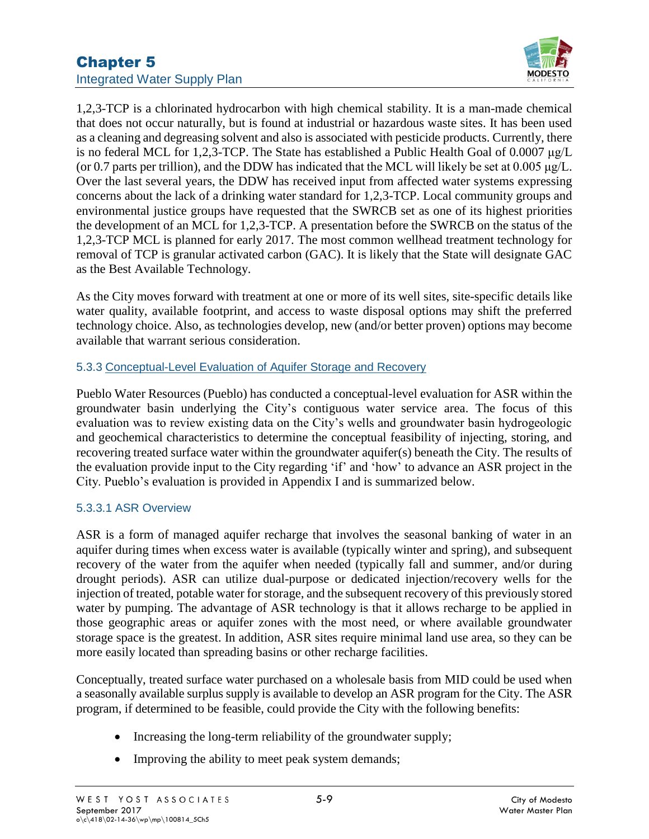

1,2,3-TCP is a chlorinated hydrocarbon with high chemical stability. It is a man-made chemical that does not occur naturally, but is found at industrial or hazardous waste sites. It has been used as a cleaning and degreasing solvent and also is associated with pesticide products. Currently, there is no federal MCL for 1,2,3-TCP. The State has established a Public Health Goal of 0.0007 μg/L (or 0.7 parts per trillion), and the DDW has indicated that the MCL will likely be set at 0.005 μg/L. Over the last several years, the DDW has received input from affected water systems expressing concerns about the lack of a drinking water standard for 1,2,3-TCP. Local community groups and environmental justice groups have requested that the SWRCB set as one of its highest priorities the development of an MCL for 1,2,3-TCP. A presentation before the SWRCB on the status of the 1,2,3-TCP MCL is planned for early 2017. The most common wellhead treatment technology for removal of TCP is granular activated carbon (GAC). It is likely that the State will designate GAC as the Best Available Technology.

As the City moves forward with treatment at one or more of its well sites, site-specific details like water quality, available footprint, and access to waste disposal options may shift the preferred technology choice. Also, as technologies develop, new (and/or better proven) options may become available that warrant serious consideration.

## 5.3.3 Conceptual-Level Evaluation of Aquifer Storage and Recovery

Pueblo Water Resources (Pueblo) has conducted a conceptual-level evaluation for ASR within the groundwater basin underlying the City's contiguous water service area. The focus of this evaluation was to review existing data on the City's wells and groundwater basin hydrogeologic and geochemical characteristics to determine the conceptual feasibility of injecting, storing, and recovering treated surface water within the groundwater aquifer(s) beneath the City. The results of the evaluation provide input to the City regarding 'if' and 'how' to advance an ASR project in the City. Pueblo's evaluation is provided in Appendix I and is summarized below.

### 5.3.3.1 ASR Overview

ASR is a form of managed aquifer recharge that involves the seasonal banking of water in an aquifer during times when excess water is available (typically winter and spring), and subsequent recovery of the water from the aquifer when needed (typically fall and summer, and/or during drought periods). ASR can utilize dual-purpose or dedicated injection/recovery wells for the injection of treated, potable water for storage, and the subsequent recovery of this previously stored water by pumping. The advantage of ASR technology is that it allows recharge to be applied in those geographic areas or aquifer zones with the most need, or where available groundwater storage space is the greatest. In addition, ASR sites require minimal land use area, so they can be more easily located than spreading basins or other recharge facilities.

Conceptually, treated surface water purchased on a wholesale basis from MID could be used when a seasonally available surplus supply is available to develop an ASR program for the City. The ASR program, if determined to be feasible, could provide the City with the following benefits:

- Increasing the long-term reliability of the groundwater supply;
- Improving the ability to meet peak system demands;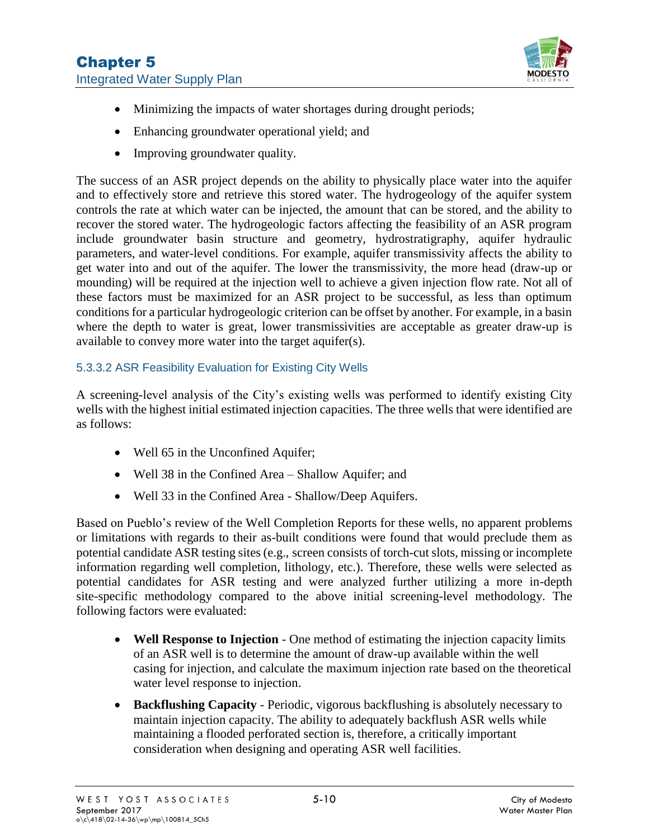

- Minimizing the impacts of water shortages during drought periods;
- Enhancing groundwater operational yield; and
- Improving groundwater quality.

The success of an ASR project depends on the ability to physically place water into the aquifer and to effectively store and retrieve this stored water. The hydrogeology of the aquifer system controls the rate at which water can be injected, the amount that can be stored, and the ability to recover the stored water. The hydrogeologic factors affecting the feasibility of an ASR program include groundwater basin structure and geometry, hydrostratigraphy, aquifer hydraulic parameters, and water-level conditions. For example, aquifer transmissivity affects the ability to get water into and out of the aquifer. The lower the transmissivity, the more head (draw-up or mounding) will be required at the injection well to achieve a given injection flow rate. Not all of these factors must be maximized for an ASR project to be successful, as less than optimum conditions for a particular hydrogeologic criterion can be offset by another. For example, in a basin where the depth to water is great, lower transmissivities are acceptable as greater draw-up is available to convey more water into the target aquifer(s).

### 5.3.3.2 ASR Feasibility Evaluation for Existing City Wells

A screening-level analysis of the City's existing wells was performed to identify existing City wells with the highest initial estimated injection capacities. The three wells that were identified are as follows:

- Well 65 in the Unconfined Aquifer;
- Well 38 in the Confined Area Shallow Aquifer; and
- Well 33 in the Confined Area Shallow/Deep Aquifers.

Based on Pueblo's review of the Well Completion Reports for these wells, no apparent problems or limitations with regards to their as-built conditions were found that would preclude them as potential candidate ASR testing sites (e.g., screen consists of torch-cut slots, missing or incomplete information regarding well completion, lithology, etc.). Therefore, these wells were selected as potential candidates for ASR testing and were analyzed further utilizing a more in-depth site-specific methodology compared to the above initial screening-level methodology. The following factors were evaluated:

- **Well Response to Injection** One method of estimating the injection capacity limits of an ASR well is to determine the amount of draw-up available within the well casing for injection, and calculate the maximum injection rate based on the theoretical water level response to injection.
- **Backflushing Capacity** Periodic, vigorous backflushing is absolutely necessary to maintain injection capacity. The ability to adequately backflush ASR wells while maintaining a flooded perforated section is, therefore, a critically important consideration when designing and operating ASR well facilities.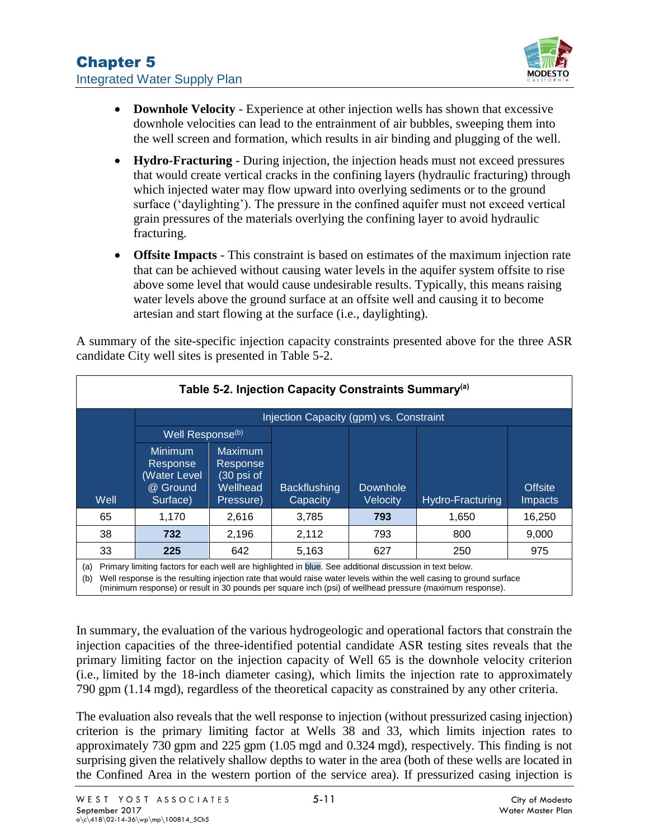

- **Downhole Velocity** Experience at other injection wells has shown that excessive downhole velocities can lead to the entrainment of air bubbles, sweeping them into the well screen and formation, which results in air binding and plugging of the well.
- **Hydro-Fracturing** During injection, the injection heads must not exceed pressures that would create vertical cracks in the confining layers (hydraulic fracturing) through which injected water may flow upward into overlying sediments or to the ground surface ('daylighting'). The pressure in the confined aquifer must not exceed vertical grain pressures of the materials overlying the confining layer to avoid hydraulic fracturing.
- **Offsite Impacts** This constraint is based on estimates of the maximum injection rate that can be achieved without causing water levels in the aquifer system offsite to rise above some level that would cause undesirable results. Typically, this means raising water levels above the ground surface at an offsite well and causing it to become artesian and start flowing at the surface (i.e., daylighting).

<span id="page-10-0"></span>**Table 5-2. Injection Capacity Constraints Summary(a) Well** Injection Capacity (gpm) vs. Constraint Well Response<sup>(b)</sup> **Backflushing Capacity** Downhole Velocity Hydro-Fracturing **Offsite** Impacts Minimum Response (Water Level @ Ground Surface) Maximum Response (30 psi of **Wellhead** Pressure) 65 1,170 2,616 3,785 **793** 1,650 16,250 38 **732** 2,196 2,112 793 800 9,000 33 **225** 642 5,163 627 250 975

A summary of the site-specific injection capacity constraints presented above for the three ASR candidate City well sites is presented in [Table 5-2.](#page-10-0)

(a) Primary limiting factors for each well are highlighted in blue. See additional discussion in text below.

(b) Well response is the resulting injection rate that would raise water levels within the well casing to ground surface

(minimum response) or result in 30 pounds per square inch (psi) of wellhead pressure (maximum response).

In summary, the evaluation of the various hydrogeologic and operational factors that constrain the injection capacities of the three-identified potential candidate ASR testing sites reveals that the primary limiting factor on the injection capacity of Well 65 is the downhole velocity criterion (i.e., limited by the 18-inch diameter casing), which limits the injection rate to approximately 790 gpm (1.14 mgd), regardless of the theoretical capacity as constrained by any other criteria.

The evaluation also reveals that the well response to injection (without pressurized casing injection) criterion is the primary limiting factor at Wells 38 and 33, which limits injection rates to approximately 730 gpm and 225 gpm (1.05 mgd and 0.324 mgd), respectively. This finding is not surprising given the relatively shallow depths to water in the area (both of these wells are located in the Confined Area in the western portion of the service area). If pressurized casing injection is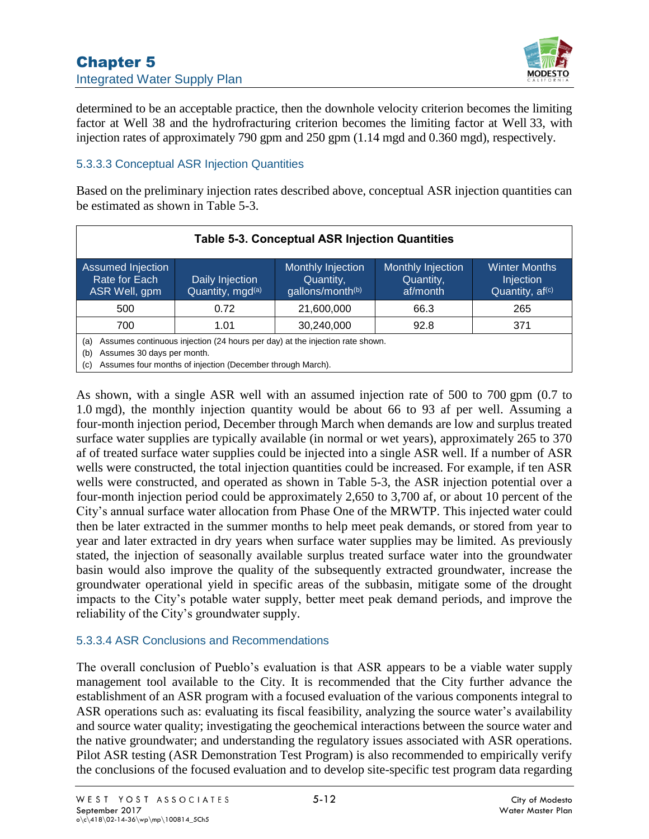

determined to be an acceptable practice, then the downhole velocity criterion becomes the limiting factor at Well 38 and the hydrofracturing criterion becomes the limiting factor at Well 33, with injection rates of approximately 790 gpm and 250 gpm (1.14 mgd and 0.360 mgd), respectively.

## 5.3.3.3 Conceptual ASR Injection Quantities

Based on the preliminary injection rates described above, conceptual ASR injection quantities can be estimated as shown in [Table 5-3.](#page-11-0)

<span id="page-11-0"></span>

| <b>Table 5-3. Conceptual ASR Injection Quantities</b> |                                                                                                                                            |                                                    |                                            |                                                                  |
|-------------------------------------------------------|--------------------------------------------------------------------------------------------------------------------------------------------|----------------------------------------------------|--------------------------------------------|------------------------------------------------------------------|
| Assumed Injection<br>Rate for Each<br>ASR Well, gpm   | Daily Injection<br>Quantity, mgd(a)                                                                                                        | Monthly Injection<br>Quantity,<br>gallons/month(b) | Monthly Injection<br>Quantity,<br>af/month | <b>Winter Months</b><br>Injection<br>Quantity, af <sup>(c)</sup> |
| 500                                                   | 0.72                                                                                                                                       | 21,600,000                                         | 66.3                                       | 265                                                              |
| 700                                                   | 1.01                                                                                                                                       | 30,240,000                                         | 92.8                                       | 371                                                              |
| (a)<br>Assumes 30 days per month.<br>(b)<br>(c)       | Assumes continuous injection (24 hours per day) at the injection rate shown.<br>Assumes four months of injection (December through March). |                                                    |                                            |                                                                  |

As shown, with a single ASR well with an assumed injection rate of 500 to 700 gpm (0.7 to 1.0 mgd), the monthly injection quantity would be about 66 to 93 af per well. Assuming a four-month injection period, December through March when demands are low and surplus treated surface water supplies are typically available (in normal or wet years), approximately 265 to 370 af of treated surface water supplies could be injected into a single ASR well. If a number of ASR wells were constructed, the total injection quantities could be increased. For example, if ten ASR wells were constructed, and operated as shown in [Table 5-3,](#page-11-0) the ASR injection potential over a four-month injection period could be approximately 2,650 to 3,700 af, or about 10 percent of the City's annual surface water allocation from Phase One of the MRWTP. This injected water could then be later extracted in the summer months to help meet peak demands, or stored from year to year and later extracted in dry years when surface water supplies may be limited. As previously stated, the injection of seasonally available surplus treated surface water into the groundwater basin would also improve the quality of the subsequently extracted groundwater, increase the groundwater operational yield in specific areas of the subbasin, mitigate some of the drought impacts to the City's potable water supply, better meet peak demand periods, and improve the reliability of the City's groundwater supply.

### 5.3.3.4 ASR Conclusions and Recommendations

The overall conclusion of Pueblo's evaluation is that ASR appears to be a viable water supply management tool available to the City. It is recommended that the City further advance the establishment of an ASR program with a focused evaluation of the various components integral to ASR operations such as: evaluating its fiscal feasibility, analyzing the source water's availability and source water quality; investigating the geochemical interactions between the source water and the native groundwater; and understanding the regulatory issues associated with ASR operations. Pilot ASR testing (ASR Demonstration Test Program) is also recommended to empirically verify the conclusions of the focused evaluation and to develop site-specific test program data regarding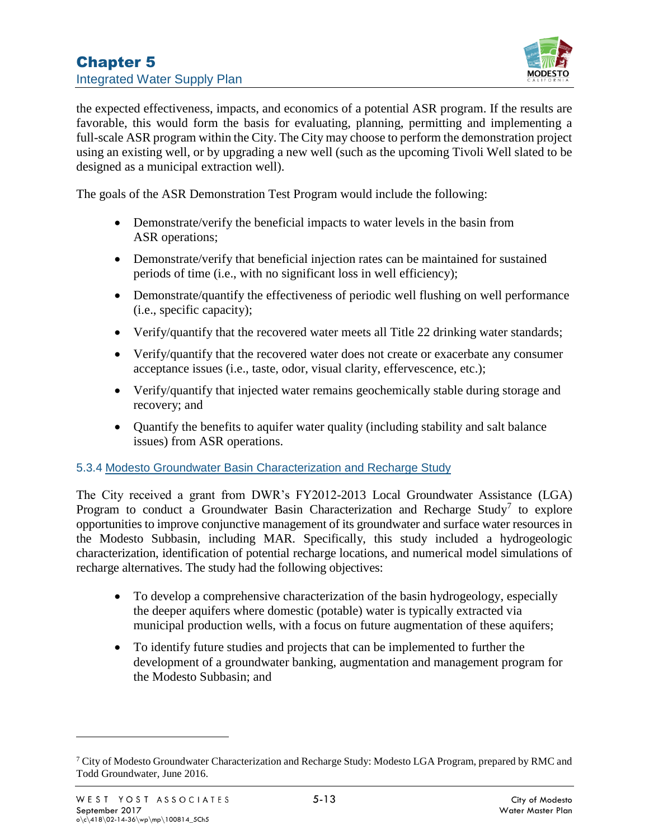

the expected effectiveness, impacts, and economics of a potential ASR program. If the results are favorable, this would form the basis for evaluating, planning, permitting and implementing a full-scale ASR program within the City. The City may choose to perform the demonstration project using an existing well, or by upgrading a new well (such as the upcoming Tivoli Well slated to be designed as a municipal extraction well).

The goals of the ASR Demonstration Test Program would include the following:

- Demonstrate/verify the beneficial impacts to water levels in the basin from ASR operations;
- Demonstrate/verify that beneficial injection rates can be maintained for sustained periods of time (i.e., with no significant loss in well efficiency);
- Demonstrate/quantify the effectiveness of periodic well flushing on well performance (i.e., specific capacity);
- Verify/quantify that the recovered water meets all Title 22 drinking water standards;
- Verify/quantify that the recovered water does not create or exacerbate any consumer acceptance issues (i.e., taste, odor, visual clarity, effervescence, etc.);
- Verify/quantify that injected water remains geochemically stable during storage and recovery; and
- Ouantify the benefits to aquifer water quality (including stability and salt balance issues) from ASR operations.

#### 5.3.4 Modesto Groundwater Basin Characterization and Recharge Study

The City received a grant from DWR's FY2012-2013 Local Groundwater Assistance (LGA) Program to conduct a Groundwater Basin Characterization and Recharge Study<sup>7</sup> to explore opportunities to improve conjunctive management of its groundwater and surface water resources in the Modesto Subbasin, including MAR. Specifically, this study included a hydrogeologic characterization, identification of potential recharge locations, and numerical model simulations of recharge alternatives. The study had the following objectives:

- To develop a comprehensive characterization of the basin hydrogeology, especially the deeper aquifers where domestic (potable) water is typically extracted via municipal production wells, with a focus on future augmentation of these aquifers;
- To identify future studies and projects that can be implemented to further the development of a groundwater banking, augmentation and management program for the Modesto Subbasin; and

<sup>&</sup>lt;sup>7</sup> City of Modesto Groundwater Characterization and Recharge Study: Modesto LGA Program, prepared by RMC and Todd Groundwater, June 2016.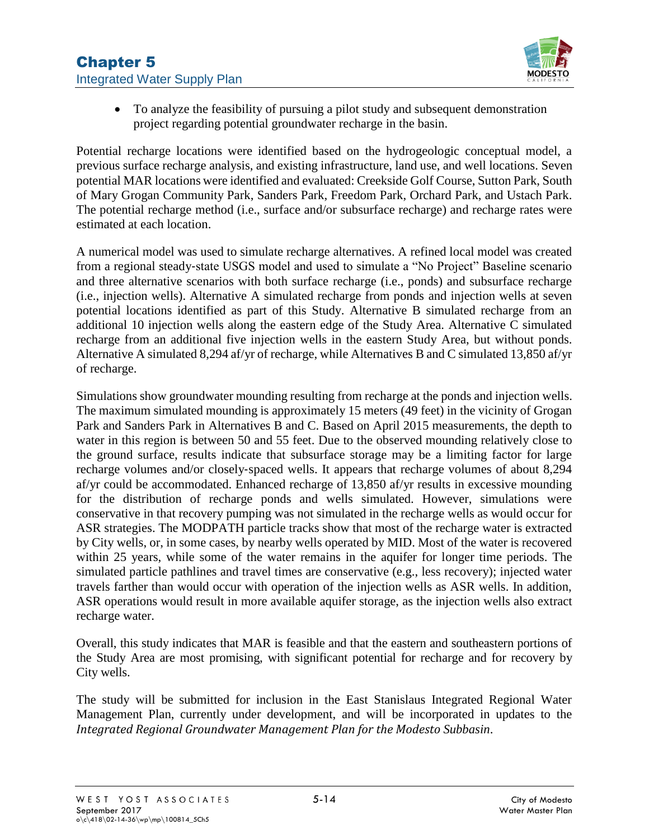

• To analyze the feasibility of pursuing a pilot study and subsequent demonstration project regarding potential groundwater recharge in the basin.

Potential recharge locations were identified based on the hydrogeologic conceptual model, a previous surface recharge analysis, and existing infrastructure, land use, and well locations. Seven potential MAR locations were identified and evaluated: Creekside Golf Course, Sutton Park, South of Mary Grogan Community Park, Sanders Park, Freedom Park, Orchard Park, and Ustach Park. The potential recharge method (i.e., surface and/or subsurface recharge) and recharge rates were estimated at each location.

A numerical model was used to simulate recharge alternatives. A refined local model was created from a regional steady‐state USGS model and used to simulate a "No Project" Baseline scenario and three alternative scenarios with both surface recharge (i.e., ponds) and subsurface recharge (i.e., injection wells). Alternative A simulated recharge from ponds and injection wells at seven potential locations identified as part of this Study. Alternative B simulated recharge from an additional 10 injection wells along the eastern edge of the Study Area. Alternative C simulated recharge from an additional five injection wells in the eastern Study Area, but without ponds. Alternative A simulated 8,294 af/yr of recharge, while Alternatives B and C simulated 13,850 af/yr of recharge.

Simulations show groundwater mounding resulting from recharge at the ponds and injection wells. The maximum simulated mounding is approximately 15 meters (49 feet) in the vicinity of Grogan Park and Sanders Park in Alternatives B and C. Based on April 2015 measurements, the depth to water in this region is between 50 and 55 feet. Due to the observed mounding relatively close to the ground surface, results indicate that subsurface storage may be a limiting factor for large recharge volumes and/or closely‐spaced wells. It appears that recharge volumes of about 8,294 af/yr could be accommodated. Enhanced recharge of 13,850 af/yr results in excessive mounding for the distribution of recharge ponds and wells simulated. However, simulations were conservative in that recovery pumping was not simulated in the recharge wells as would occur for ASR strategies. The MODPATH particle tracks show that most of the recharge water is extracted by City wells, or, in some cases, by nearby wells operated by MID. Most of the water is recovered within 25 years, while some of the water remains in the aquifer for longer time periods. The simulated particle pathlines and travel times are conservative (e.g., less recovery); injected water travels farther than would occur with operation of the injection wells as ASR wells. In addition, ASR operations would result in more available aquifer storage, as the injection wells also extract recharge water.

Overall, this study indicates that MAR is feasible and that the eastern and southeastern portions of the Study Area are most promising, with significant potential for recharge and for recovery by City wells.

The study will be submitted for inclusion in the East Stanislaus Integrated Regional Water Management Plan, currently under development, and will be incorporated in updates to the *Integrated Regional Groundwater Management Plan for the Modesto Subbasin*.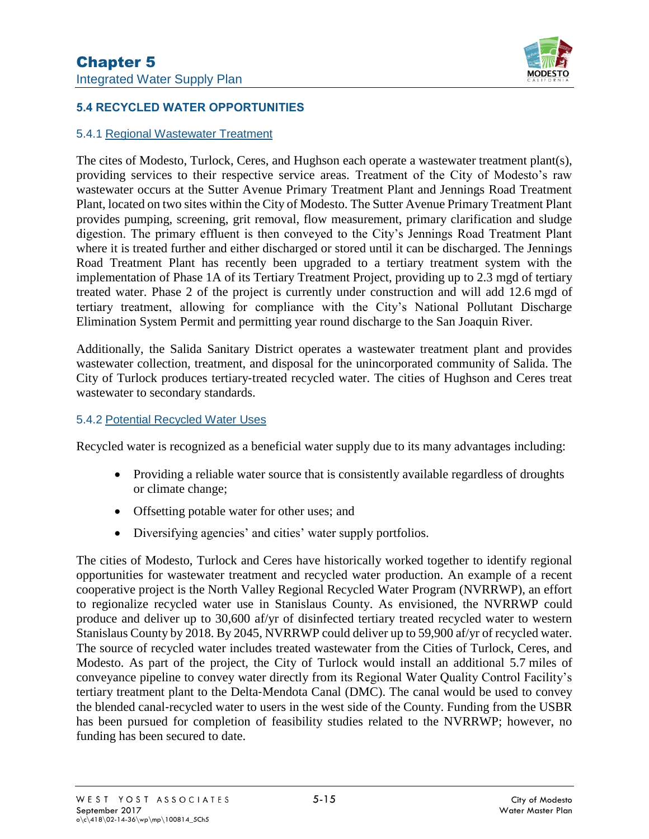

## **5.4 RECYCLED WATER OPPORTUNITIES**

#### 5.4.1 Regional Wastewater Treatment

The cites of Modesto, Turlock, Ceres, and Hughson each operate a wastewater treatment plant(s), providing services to their respective service areas. Treatment of the City of Modesto's raw wastewater occurs at the Sutter Avenue Primary Treatment Plant and Jennings Road Treatment Plant, located on two sites within the City of Modesto. The Sutter Avenue Primary Treatment Plant provides pumping, screening, grit removal, flow measurement, primary clarification and sludge digestion. The primary effluent is then conveyed to the City's Jennings Road Treatment Plant where it is treated further and either discharged or stored until it can be discharged. The Jennings Road Treatment Plant has recently been upgraded to a tertiary treatment system with the implementation of Phase 1A of its Tertiary Treatment Project, providing up to 2.3 mgd of tertiary treated water. Phase 2 of the project is currently under construction and will add 12.6 mgd of tertiary treatment, allowing for compliance with the City's National Pollutant Discharge Elimination System Permit and permitting year round discharge to the San Joaquin River.

Additionally, the Salida Sanitary District operates a wastewater treatment plant and provides wastewater collection, treatment, and disposal for the unincorporated community of Salida. The City of Turlock produces tertiary‐treated recycled water. The cities of Hughson and Ceres treat wastewater to secondary standards.

#### 5.4.2 Potential Recycled Water Uses

Recycled water is recognized as a beneficial water supply due to its many advantages including:

- Providing a reliable water source that is consistently available regardless of droughts or climate change;
- Offsetting potable water for other uses; and
- Diversifying agencies' and cities' water supply portfolios.

The cities of Modesto, Turlock and Ceres have historically worked together to identify regional opportunities for wastewater treatment and recycled water production. An example of a recent cooperative project is the North Valley Regional Recycled Water Program (NVRRWP), an effort to regionalize recycled water use in Stanislaus County. As envisioned, the NVRRWP could produce and deliver up to 30,600 af/yr of disinfected tertiary treated recycled water to western Stanislaus County by 2018. By 2045, NVRRWP could deliver up to 59,900 af/yr of recycled water. The source of recycled water includes treated wastewater from the Cities of Turlock, Ceres, and Modesto. As part of the project, the City of Turlock would install an additional 5.7 miles of conveyance pipeline to convey water directly from its Regional Water Quality Control Facility's tertiary treatment plant to the Delta‐Mendota Canal (DMC). The canal would be used to convey the blended canal‐recycled water to users in the west side of the County. Funding from the USBR has been pursued for completion of feasibility studies related to the NVRRWP; however, no funding has been secured to date.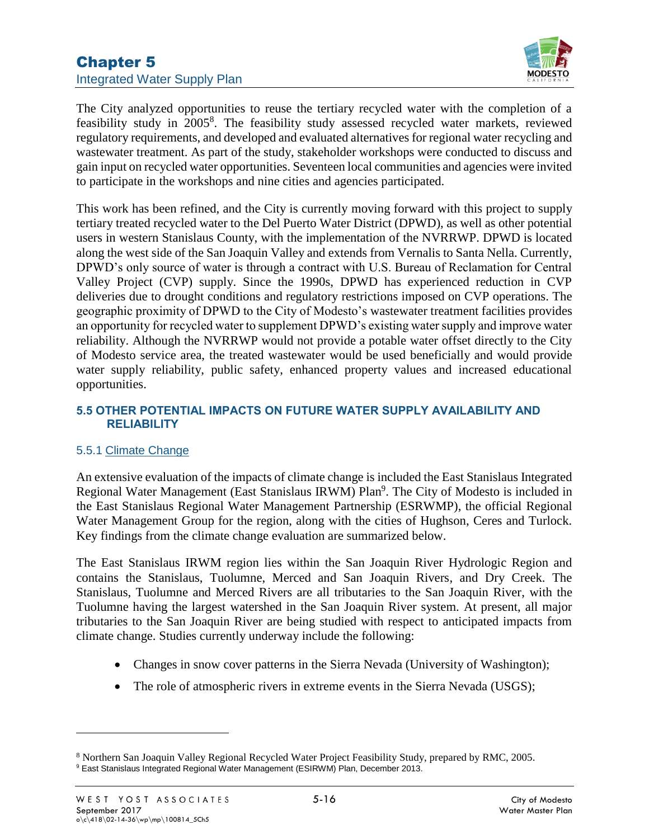

The City analyzed opportunities to reuse the tertiary recycled water with the completion of a feasibility study in 2005<sup>8</sup>. The feasibility study assessed recycled water markets, reviewed regulatory requirements, and developed and evaluated alternatives for regional water recycling and wastewater treatment. As part of the study, stakeholder workshops were conducted to discuss and gain input on recycled water opportunities. Seventeen local communities and agencies were invited to participate in the workshops and nine cities and agencies participated.

This work has been refined, and the City is currently moving forward with this project to supply tertiary treated recycled water to the Del Puerto Water District (DPWD), as well as other potential users in western Stanislaus County, with the implementation of the NVRRWP. DPWD is located along the west side of the San Joaquin Valley and extends from Vernalis to Santa Nella. Currently, DPWD's only source of water is through a contract with U.S. Bureau of Reclamation for Central Valley Project (CVP) supply. Since the 1990s, DPWD has experienced reduction in CVP deliveries due to drought conditions and regulatory restrictions imposed on CVP operations. The geographic proximity of DPWD to the City of Modesto's wastewater treatment facilities provides an opportunity for recycled water to supplement DPWD's existing water supply and improve water reliability. Although the NVRRWP would not provide a potable water offset directly to the City of Modesto service area, the treated wastewater would be used beneficially and would provide water supply reliability, public safety, enhanced property values and increased educational opportunities.

### **5.5 OTHER POTENTIAL IMPACTS ON FUTURE WATER SUPPLY AVAILABILITY AND RELIABILITY**

### 5.5.1 Climate Change

An extensive evaluation of the impacts of climate change is included the East Stanislaus Integrated Regional Water Management (East Stanislaus IRWM) Plan<sup>9</sup>. The City of Modesto is included in the East Stanislaus Regional Water Management Partnership (ESRWMP), the official Regional Water Management Group for the region, along with the cities of Hughson, Ceres and Turlock. Key findings from the climate change evaluation are summarized below.

The East Stanislaus IRWM region lies within the San Joaquin River Hydrologic Region and contains the Stanislaus, Tuolumne, Merced and San Joaquin Rivers, and Dry Creek. The Stanislaus, Tuolumne and Merced Rivers are all tributaries to the San Joaquin River, with the Tuolumne having the largest watershed in the San Joaquin River system. At present, all major tributaries to the San Joaquin River are being studied with respect to anticipated impacts from climate change. Studies currently underway include the following:

- Changes in snow cover patterns in the Sierra Nevada (University of Washington);
- The role of atmospheric rivers in extreme events in the Sierra Nevada (USGS);

<sup>8</sup> Northern San Joaquin Valley Regional Recycled Water Project Feasibility Study, prepared by RMC, 2005. <sup>9</sup> East Stanislaus Integrated Regional Water Management (ESIRWM) Plan, December 2013.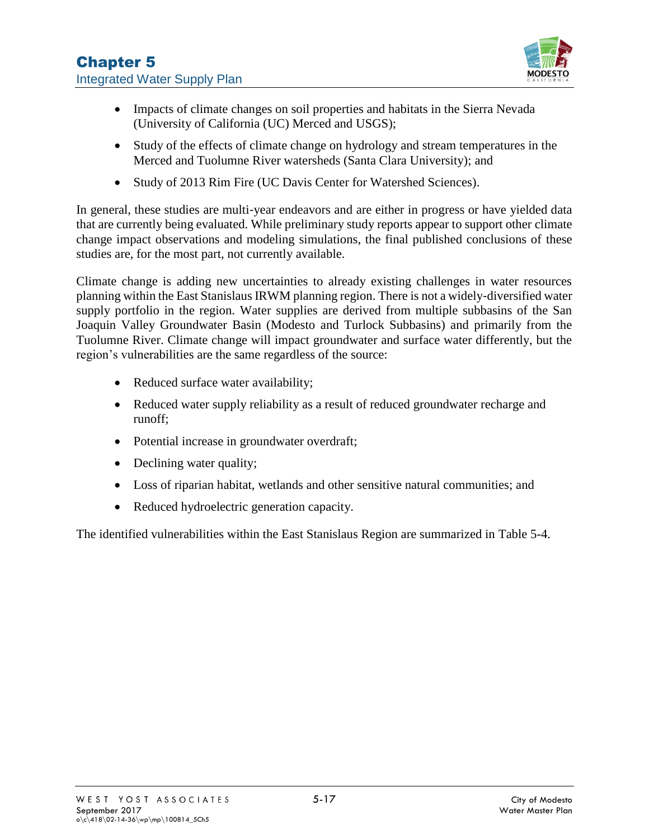

- Impacts of climate changes on soil properties and habitats in the Sierra Nevada (University of California (UC) Merced and USGS);
- Study of the effects of climate change on hydrology and stream temperatures in the Merced and Tuolumne River watersheds (Santa Clara University); and
- Study of 2013 Rim Fire (UC Davis Center for Watershed Sciences).

In general, these studies are multi-year endeavors and are either in progress or have yielded data that are currently being evaluated. While preliminary study reports appear to support other climate change impact observations and modeling simulations, the final published conclusions of these studies are, for the most part, not currently available.

Climate change is adding new uncertainties to already existing challenges in water resources planning within the East Stanislaus IRWM planning region. There is not a widely‐diversified water supply portfolio in the region. Water supplies are derived from multiple subbasins of the San Joaquin Valley Groundwater Basin (Modesto and Turlock Subbasins) and primarily from the Tuolumne River. Climate change will impact groundwater and surface water differently, but the region's vulnerabilities are the same regardless of the source:

- Reduced surface water availability;
- Reduced water supply reliability as a result of reduced groundwater recharge and runoff;
- Potential increase in groundwater overdraft;
- Declining water quality;
- Loss of riparian habitat, wetlands and other sensitive natural communities; and
- Reduced hydroelectric generation capacity.

The identified vulnerabilities within the East Stanislaus Region are summarized in [Table 5-4.](#page-17-0)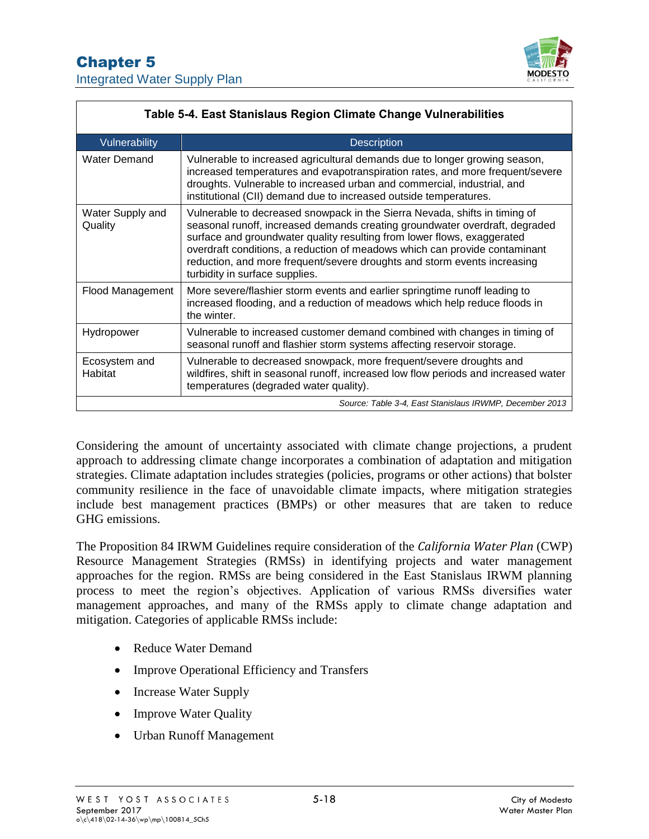

<span id="page-17-0"></span>

| Table 5-4. East Stanislaus Region Climate Change Vulnerabilities |                                                                                                                                                                                                                                                                                                                                                                                                                                  |  |  |  |
|------------------------------------------------------------------|----------------------------------------------------------------------------------------------------------------------------------------------------------------------------------------------------------------------------------------------------------------------------------------------------------------------------------------------------------------------------------------------------------------------------------|--|--|--|
| Vulnerability                                                    | <b>Description</b>                                                                                                                                                                                                                                                                                                                                                                                                               |  |  |  |
| <b>Water Demand</b>                                              | Vulnerable to increased agricultural demands due to longer growing season,<br>increased temperatures and evapotranspiration rates, and more frequent/severe<br>droughts. Vulnerable to increased urban and commercial, industrial, and<br>institutional (CII) demand due to increased outside temperatures.                                                                                                                      |  |  |  |
| Water Supply and<br>Quality                                      | Vulnerable to decreased snowpack in the Sierra Nevada, shifts in timing of<br>seasonal runoff, increased demands creating groundwater overdraft, degraded<br>surface and groundwater quality resulting from lower flows, exaggerated<br>overdraft conditions, a reduction of meadows which can provide contaminant<br>reduction, and more frequent/severe droughts and storm events increasing<br>turbidity in surface supplies. |  |  |  |
| Flood Management                                                 | More severe/flashier storm events and earlier springtime runoff leading to<br>increased flooding, and a reduction of meadows which help reduce floods in<br>the winter.                                                                                                                                                                                                                                                          |  |  |  |
| Hydropower                                                       | Vulnerable to increased customer demand combined with changes in timing of<br>seasonal runoff and flashier storm systems affecting reservoir storage.                                                                                                                                                                                                                                                                            |  |  |  |
| Ecosystem and<br>Habitat                                         | Vulnerable to decreased snowpack, more frequent/severe droughts and<br>wildfires, shift in seasonal runoff, increased low flow periods and increased water<br>temperatures (degraded water quality).                                                                                                                                                                                                                             |  |  |  |
|                                                                  | Source: Table 3-4, East Stanislaus IRWMP, December 2013                                                                                                                                                                                                                                                                                                                                                                          |  |  |  |

Considering the amount of uncertainty associated with climate change projections, a prudent approach to addressing climate change incorporates a combination of adaptation and mitigation strategies. Climate adaptation includes strategies (policies, programs or other actions) that bolster community resilience in the face of unavoidable climate impacts, where mitigation strategies include best management practices (BMPs) or other measures that are taken to reduce GHG emissions.

The Proposition 84 IRWM Guidelines require consideration of the *California Water Plan* (CWP) Resource Management Strategies (RMSs) in identifying projects and water management approaches for the region. RMSs are being considered in the East Stanislaus IRWM planning process to meet the region's objectives. Application of various RMSs diversifies water management approaches, and many of the RMSs apply to climate change adaptation and mitigation. Categories of applicable RMSs include:

- Reduce Water Demand
- Improve Operational Efficiency and Transfers
- Increase Water Supply
- Improve Water Quality
- Urban Runoff Management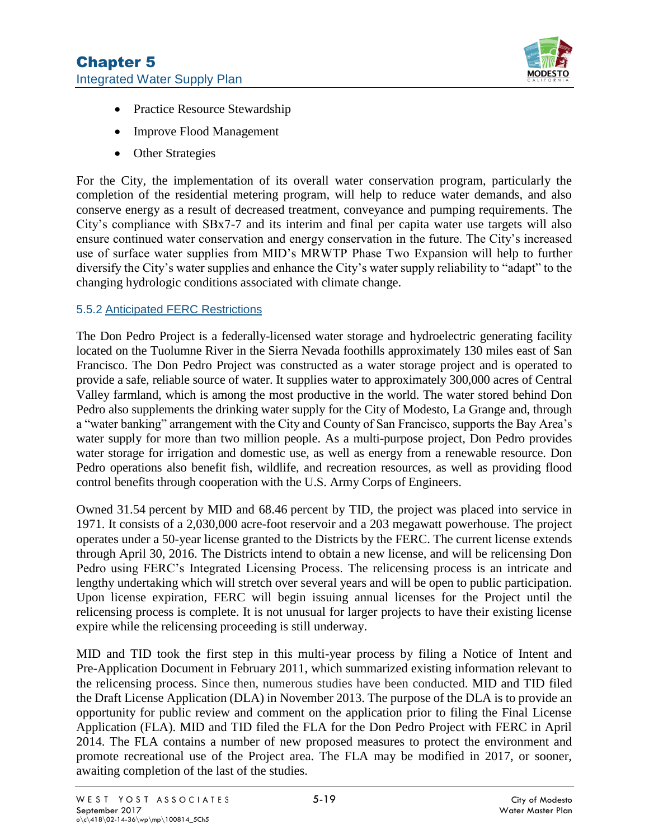

- Practice Resource Stewardship
- Improve Flood Management
- Other Strategies

For the City, the implementation of its overall water conservation program, particularly the completion of the residential metering program, will help to reduce water demands, and also conserve energy as a result of decreased treatment, conveyance and pumping requirements. The City's compliance with SBx7-7 and its interim and final per capita water use targets will also ensure continued water conservation and energy conservation in the future. The City's increased use of surface water supplies from MID's MRWTP Phase Two Expansion will help to further diversify the City's water supplies and enhance the City's water supply reliability to "adapt" to the changing hydrologic conditions associated with climate change.

### 5.5.2 Anticipated FERC Restrictions

The Don Pedro Project is a federally-licensed water storage and hydroelectric generating facility located on the Tuolumne River in the Sierra Nevada foothills approximately 130 miles east of San Francisco. The Don Pedro Project was constructed as a water storage project and is operated to provide a safe, reliable source of water. It supplies water to approximately 300,000 acres of Central Valley farmland, which is among the most productive in the world. The water stored behind Don Pedro also supplements the drinking water supply for the City of Modesto, La Grange and, through a "water banking" arrangement with the City and County of San Francisco, supports the Bay Area's water supply for more than two million people. As a multi-purpose project, Don Pedro provides water storage for irrigation and domestic use, as well as energy from a renewable resource. Don Pedro operations also benefit fish, wildlife, and recreation resources, as well as providing flood control benefits through cooperation with the U.S. Army Corps of Engineers.

Owned 31.54 percent by MID and 68.46 percent by TID, the project was placed into service in 1971. It consists of a 2,030,000 acre-foot reservoir and a 203 megawatt powerhouse. The project operates under a 50-year license granted to the Districts by the FERC. The current license extends through April 30, 2016. The Districts intend to obtain a new license, and will be relicensing Don Pedro using FERC's Integrated Licensing Process. The relicensing process is an intricate and lengthy undertaking which will stretch over several years and will be open to public participation. Upon license expiration, FERC will begin issuing annual licenses for the Project until the relicensing process is complete. It is not unusual for larger projects to have their existing license expire while the relicensing proceeding is still underway.

MID and TID took the first step in this multi-year process by filing a Notice of Intent and Pre-Application Document in February 2011, which summarized existing information relevant to the relicensing process. Since then, numerous studies have been conducted. MID and TID filed the Draft License Application (DLA) in November 2013. The purpose of the DLA is to provide an opportunity for public review and comment on the application prior to filing the Final License Application (FLA). MID and TID filed the FLA for the Don Pedro Project with FERC in April 2014. The FLA contains a number of new proposed measures to protect the environment and promote recreational use of the Project area. The FLA may be modified in 2017, or sooner, awaiting completion of the last of the studies.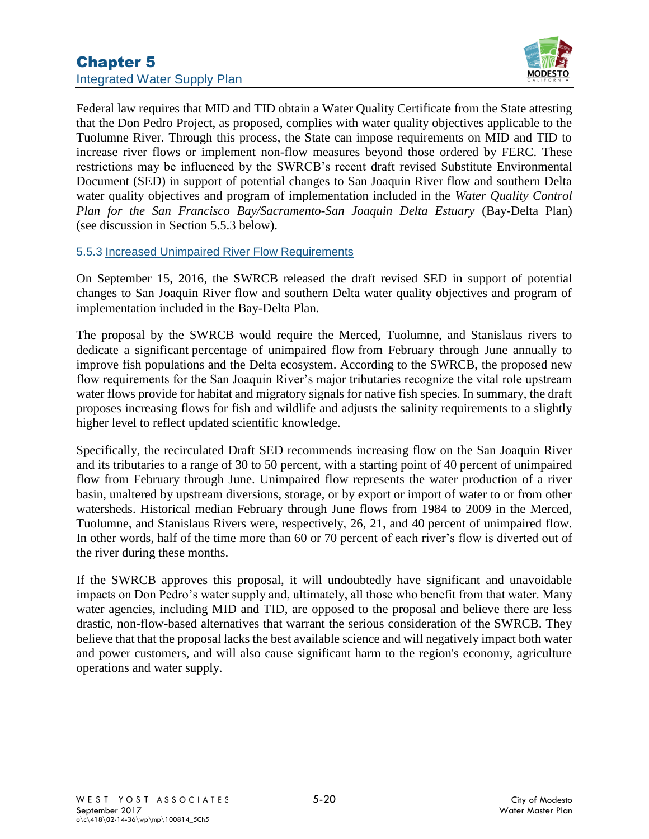

Federal law requires that MID and TID obtain a Water Quality Certificate from the State attesting that the Don Pedro Project, as proposed, complies with water quality objectives applicable to the Tuolumne River. Through this process, the State can impose requirements on MID and TID to increase river flows or implement non-flow measures beyond those ordered by FERC. These restrictions may be influenced by the SWRCB's recent draft revised Substitute Environmental Document (SED) in support of potential changes to San Joaquin River flow and southern Delta water quality objectives and program of implementation included in the *Water Quality Control Plan for the San Francisco Bay/Sacramento-San Joaquin Delta Estuary* (Bay-Delta Plan) (see discussion in Section 5.5.3 below).

#### 5.5.3 Increased Unimpaired River Flow Requirements

On September 15, 2016, the SWRCB released the draft revised SED in support of potential changes to San Joaquin River flow and southern Delta water quality objectives and program of implementation included in the Bay-Delta Plan.

The proposal by the SWRCB would require the Merced, Tuolumne, and Stanislaus rivers to dedicate a significant percentage of unimpaired flow from February through June annually to improve fish populations and the Delta ecosystem. According to the SWRCB, the proposed new flow requirements for the San Joaquin River's major tributaries recognize the vital role upstream water flows provide for habitat and migratory signals for native fish species. In summary, the draft proposes increasing flows for fish and wildlife and adjusts the salinity requirements to a slightly higher level to reflect updated scientific knowledge.

Specifically, the recirculated Draft SED recommends increasing flow on the San Joaquin River and its tributaries to a range of 30 to 50 percent, with a starting point of 40 percent of unimpaired flow from February through June. Unimpaired flow represents the water production of a river basin, unaltered by upstream diversions, storage, or by export or import of water to or from other watersheds. Historical median February through June flows from 1984 to 2009 in the Merced, Tuolumne, and Stanislaus Rivers were, respectively, 26, 21, and 40 percent of unimpaired flow. In other words, half of the time more than 60 or 70 percent of each river's flow is diverted out of the river during these months.

If the SWRCB approves this proposal, it will undoubtedly have significant and unavoidable impacts on Don Pedro's water supply and, ultimately, all those who benefit from that water. Many water agencies, including MID and TID, are opposed to the proposal and believe there are less drastic, non-flow-based alternatives that warrant the serious consideration of the SWRCB. They believe that that the proposal lacks the best available science and will negatively impact both water and power customers, and will also cause significant harm to the region's economy, agriculture operations and water supply.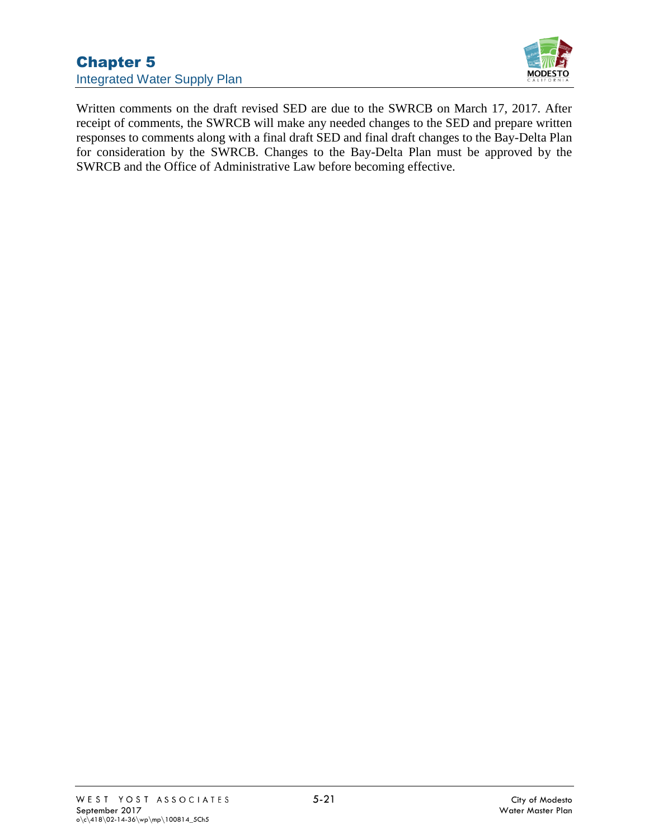

Written comments on the draft revised SED are due to the SWRCB on March 17, 2017. After receipt of comments, the SWRCB will make any needed changes to the SED and prepare written responses to comments along with a final draft SED and final draft changes to the Bay-Delta Plan for consideration by the SWRCB. Changes to the Bay-Delta Plan must be approved by the SWRCB and the Office of Administrative Law before becoming effective.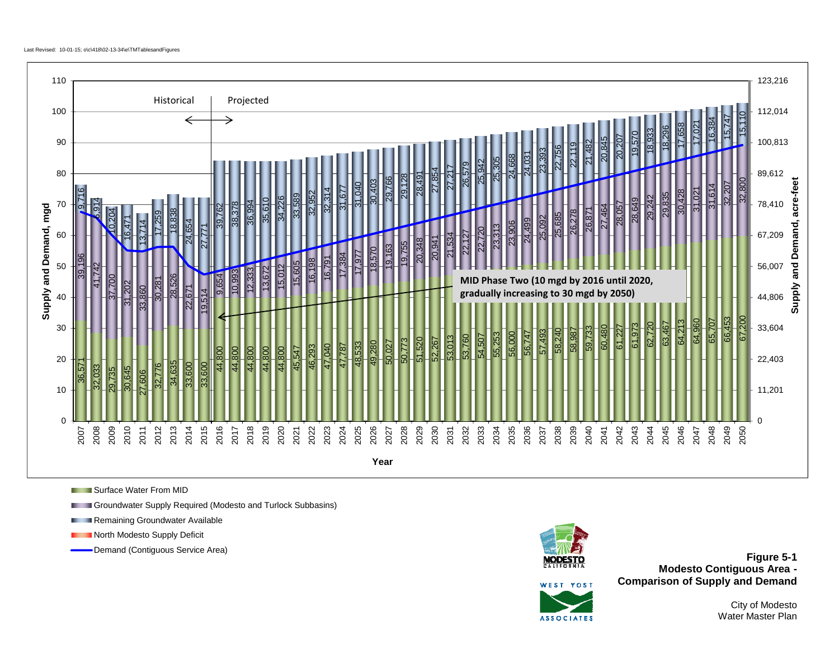

**Surface Water From MID** 

Groundwater Supply Required (Modesto and Turlock Subbasins)

Remaining Groundwater Available

North Modesto Supply Deficit



Demand (Contiguous Service Area) **Figure 5-1**<br>**Figure 5-1 Modesto Contiguous Area - Comparison of Supply and Demand**

WEST VOST **ASSOCIATES** 

City of Modesto Water Master Plan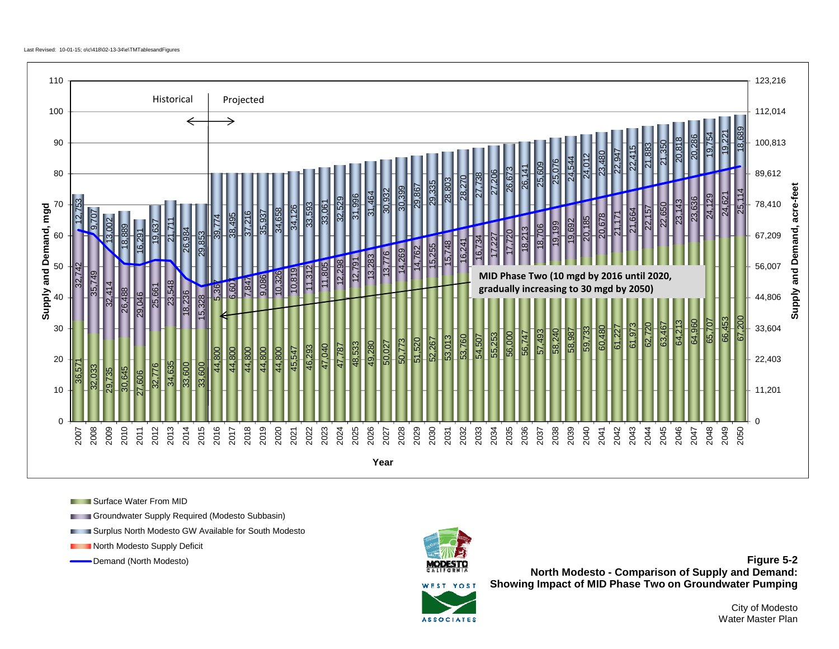

Surface Water From MID

Groundwater Supply Required (Modesto Subbasin)

**EXECUTE: Surplus North Modesto GW Available for South Modesto** 

**North Modesto Supply Deficit** 



Demand (North Modesto) **Figure 5-2 North Modesto - Comparison of Supply and Demand: Showing Impact of MID Phase Two on Groundwater Pumping**



City of Modesto Water Master Plan